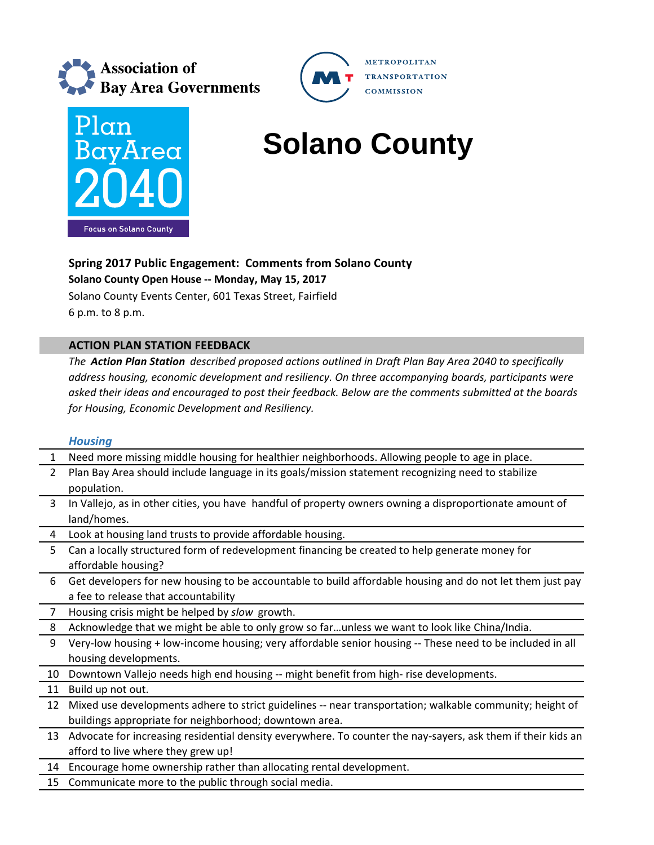



# **BayArea Solano County**

**METROPOLITAN** 

**COMMISSION** 

**TRANSPORTATION** 

## **Spring 2017 Public Engagement: Comments from Solano County**

**Solano County Open House ‐‐ Monday, May 15, 2017**

Solano County Events Center, 601 Texas Street, Fairfield 6 p.m. to 8 p.m.

## **ACTION PLAN STATION FEEDBACK**

*The Action Plan Station described proposed actions outlined in Draft Plan Bay Area 2040 to specifically address housing, economic development and resiliency. On three accompanying boards, participants were asked their ideas and encouraged to post their feedback. Below are the comments submitted at the boards for Housing, Economic Development and Resiliency.*

## *Housing*

| $\mathbf{1}$   | Need more missing middle housing for healthier neighborhoods. Allowing people to age in place.               |
|----------------|--------------------------------------------------------------------------------------------------------------|
| $\overline{2}$ | Plan Bay Area should include language in its goals/mission statement recognizing need to stabilize           |
|                | population.                                                                                                  |
| 3              | In Vallejo, as in other cities, you have handful of property owners owning a disproportionate amount of      |
|                | land/homes.                                                                                                  |
| 4              | Look at housing land trusts to provide affordable housing.                                                   |
| 5              | Can a locally structured form of redevelopment financing be created to help generate money for               |
|                | affordable housing?                                                                                          |
| 6              | Get developers for new housing to be accountable to build affordable housing and do not let them just pay    |
|                | a fee to release that accountability                                                                         |
| 7              | Housing crisis might be helped by slow growth.                                                               |
| 8              | Acknowledge that we might be able to only grow so farunless we want to look like China/India.                |
| 9              | Very-low housing + low-income housing; very affordable senior housing -- These need to be included in all    |
|                | housing developments.                                                                                        |
| 10             | Downtown Vallejo needs high end housing -- might benefit from high-rise developments.                        |
| 11             | Build up not out.                                                                                            |
| 12             | Mixed use developments adhere to strict guidelines -- near transportation; walkable community; height of     |
|                | buildings appropriate for neighborhood; downtown area.                                                       |
| 13             | Advocate for increasing residential density everywhere. To counter the nay-sayers, ask them if their kids an |
|                | afford to live where they grew up!                                                                           |
| 14             | Encourage home ownership rather than allocating rental development.                                          |
| 15             | Communicate more to the public through social media.                                                         |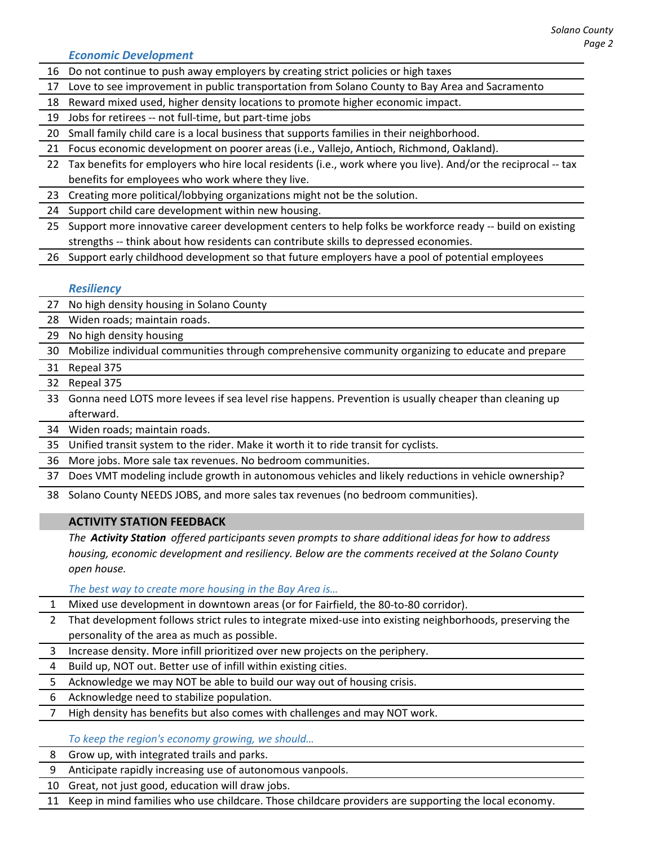*Economic Development*

- 16 Do not continue to push away employers by creating strict policies or high taxes
- 17 Love to see improvement in public transportation from Solano County to Bay Area and Sacramento
- 18 Reward mixed used, higher density locations to promote higher economic impact.
- 19 Jobs for retirees ‐‐ not full‐time, but part‐time jobs
- 20 Small family child care is a local business that supports families in their neighborhood.
- 21 Focus economic development on poorer areas (i.e., Vallejo, Antioch, Richmond, Oakland).
- 22 Tax benefits for employers who hire local residents (i.e., work where you live). And/or the reciprocal -- tax benefits for employees who work where they live.
- 23 Creating more political/lobbying organizations might not be the solution.
- 24 Support child care development within new housing.
- 25 Support more innovative career development centers to help folks be workforce ready -- build on existing strengths ‐‐ think about how residents can contribute skills to depressed economies.
- 26 Support early childhood development so that future employers have a pool of potential employees

### *Resiliency*

- 27 No high density housing in Solano County
- 28 Widen roads; maintain roads.
- 29 No high density housing
- 30 Mobilize individual communities through comprehensive community organizing to educate and prepare
- 31 Repeal 375
- 32 Repeal 375
- 33 Gonna need LOTS more levees if sea level rise happens. Prevention is usually cheaper than cleaning up afterward.
- 34 Widen roads; maintain roads.
- 35 Unified transit system to the rider. Make it worth it to ride transit for cyclists.
- 36 More jobs. More sale tax revenues. No bedroom communities.
- 37 Does VMT modeling include growth in autonomous vehicles and likely reductions in vehicle ownership?
- 38 Solano County NEEDS JOBS, and more sales tax revenues (no bedroom communities).

### **ACTIVITY STATION FEEDBACK**

*The Activity Station offered participants seven prompts to share additional ideas for how to address housing, economic development and resiliency. Below are the comments received at the Solano County open house.*

*The best way to create more housing in the Bay Area is…*

- Mixed use development in downtown areas (or for Fairfield, the 80-to-80 corridor).
- 2 That development follows strict rules to integrate mixed-use into existing neighborhoods, preserving the personality of the area as much as possible.
- 3 Increase density. More infill prioritized over new projects on the periphery.
- 4 Build up, NOT out. Better use of infill within existing cities.
- 5 Acknowledge we may NOT be able to build our way out of housing crisis.
- 6 Acknowledge need to stabilize population.
- 7 High density has benefits but also comes with challenges and may NOT work.

*To keep the region's economy growing, we should…*

- 8 Grow up, with integrated trails and parks.
- 9 Anticipate rapidly increasing use of autonomous vanpools.
- 10 Great, not just good, education will draw jobs.
- 11 Keep in mind families who use childcare. Those childcare providers are supporting the local economy.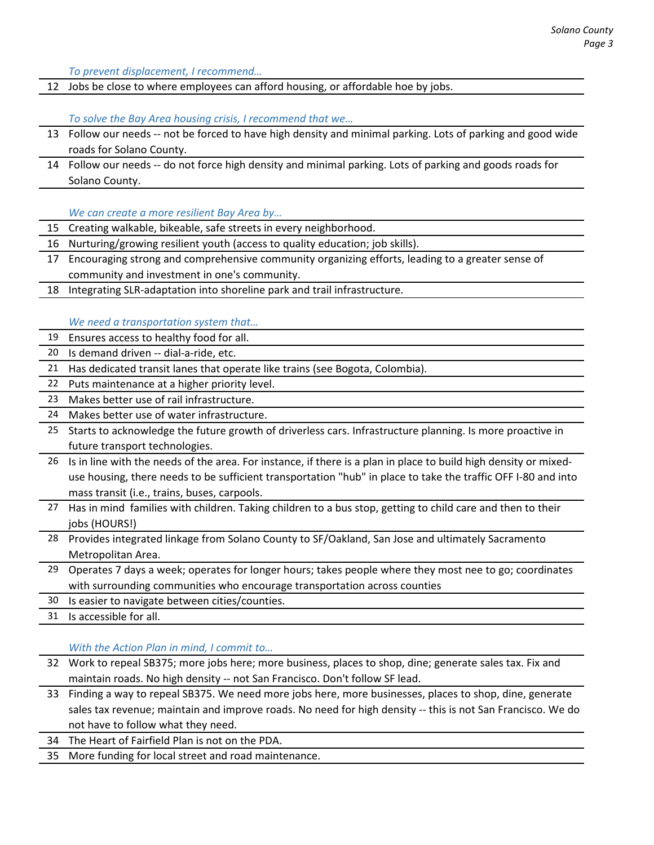*To prevent displacement, I recommend…*

12 Jobs be close to where employees can afford housing, or affordable hoe by jobs.

*To solve the Bay Area housing crisis, I recommend that we…*

- 13 Follow our needs ‐‐ not be forced to have high density and minimal parking. Lots of parking and good wide roads for Solano County.
- 14 Follow our needs ‐‐ do not force high density and minimal parking. Lots of parking and goods roads for Solano County.

*We can create a more resilient Bay Area by…*

- 15 Creating walkable, bikeable, safe streets in every neighborhood.
- 16 Nurturing/growing resilient youth (access to quality education; job skills).
- 17 Encouraging strong and comprehensive community organizing efforts, leading to a greater sense of community and investment in one's community.
- 18 Integrating SLR-adaptation into shoreline park and trail infrastructure.

#### *We need a transportation system that…*

- 19 Ensures access to healthy food for all.
- 20 Is demand driven -- dial-a-ride, etc.
- 21 Has dedicated transit lanes that operate like trains (see Bogota, Colombia).
- 22 Puts maintenance at a higher priority level.
- 23 Makes better use of rail infrastructure.
- 24 Makes better use of water infrastructure.
- 25 Starts to acknowledge the future growth of driverless cars. Infrastructure planning. Is more proactive in future transport technologies.
- 26 Is in line with the needs of the area. For instance, if there is a plan in place to build high density or mixed‐ use housing, there needs to be sufficient transportation "hub" in place to take the traffic OFF I‐80 and into mass transit (i.e., trains, buses, carpools.
- 27 Has in mind families with children. Taking children to a bus stop, getting to child care and then to their jobs (HOURS!)
- 28 Provides integrated linkage from Solano County to SF/Oakland, San Jose and ultimately Sacramento Metropolitan Area.
- 29 Operates 7 days a week; operates for longer hours; takes people where they most nee to go; coordinates with surrounding communities who encourage transportation across counties
- 30 Is easier to navigate between cities/counties.

31 Is accessible for all.

*With the Action Plan in mind, I commit to…*

- 32 Work to repeal SB375; more jobs here; more business, places to shop, dine; generate sales tax. Fix and maintain roads. No high density ‐‐ not San Francisco. Don't follow SF lead.
- 33 Finding a way to repeal SB375. We need more jobs here, more businesses, places to shop, dine, generate sales tax revenue; maintain and improve roads. No need for high density -- this is not San Francisco. We do not have to follow what they need.
- 34 The Heart of Fairfield Plan is not on the PDA.
- 35 More funding for local street and road maintenance.